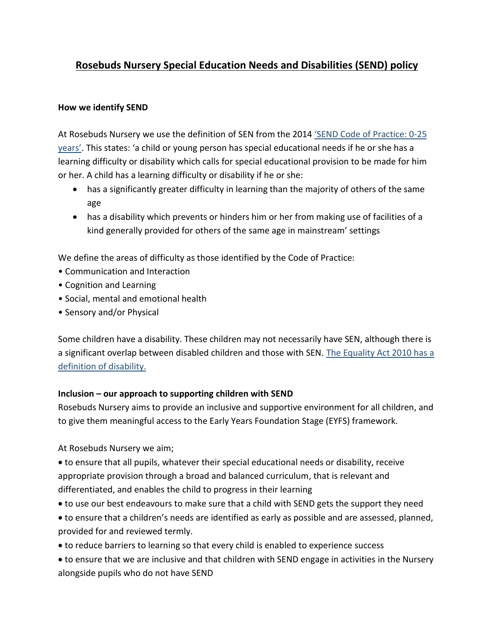# **Rosebuds Nursery Special Education Needs and Disabilities (SEND) policy**

## **How we identify SEND**

At Rosebuds Nursery we use the definition of SEN from the 2014 'SEND [Code of Practice: 0-25](https://www.gov.uk/government/publications/send-code-of-practice-0-to-25)  [years'.](https://www.gov.uk/government/publications/send-code-of-practice-0-to-25) This states: 'a child or young person has special educational needs if he or she has a learning difficulty or disability which calls for special educational provision to be made for him or her. A child has a learning difficulty or disability if he or she:

- has a significantly greater difficulty in learning than the majority of others of the same age
- has a disability which prevents or hinders him or her from making use of facilities of a kind generally provided for others of the same age in mainstream' settings

We define the areas of difficulty as those identified by the Code of Practice:

- Communication and Interaction
- Cognition and Learning
- Social, mental and emotional health
- Sensory and/or Physical

Some children have a disability. These children may not necessarily have SEN, although there is a significant overlap between disabled children and those with SEN. [The Equality Act 2010 has a](http://www.legislation.gov.uk/ukpga/2010/15/section/6)  [definition of disability.](http://www.legislation.gov.uk/ukpga/2010/15/section/6)

# **Inclusion – our approach to supporting children with SEND**

Rosebuds Nursery aims to provide an inclusive and supportive environment for all children, and to give them meaningful access to the Early Years Foundation Stage (EYFS) framework.

At Rosebuds Nursery we aim;

 to ensure that all pupils, whatever their special educational needs or disability, receive appropriate provision through a broad and balanced curriculum, that is relevant and differentiated, and enables the child to progress in their learning

- to use our best endeavours to make sure that a child with SEND gets the support they need
- to ensure that a children's needs are identified as early as possible and are assessed, planned, provided for and reviewed termly.
- to reduce barriers to learning so that every child is enabled to experience success
- to ensure that we are inclusive and that children with SEND engage in activities in the Nursery alongside pupils who do not have SEND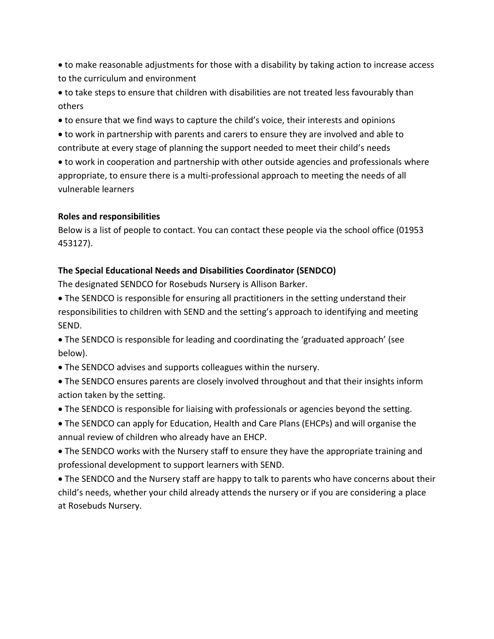to make reasonable adjustments for those with a disability by taking action to increase access to the curriculum and environment

 to take steps to ensure that children with disabilities are not treated less favourably than others

to ensure that we find ways to capture the child's voice, their interests and opinions

 to work in partnership with parents and carers to ensure they are involved and able to contribute at every stage of planning the support needed to meet their child's needs

 to work in cooperation and partnership with other outside agencies and professionals where appropriate, to ensure there is a multi-professional approach to meeting the needs of all vulnerable learners

#### **Roles and responsibilities**

Below is a list of people to contact. You can contact these people via the school office (01953 453127).

# **The Special Educational Needs and Disabilities Coordinator (SENDCO)**

The designated SENDCO for Rosebuds Nursery is Allison Barker.

 The SENDCO is responsible for ensuring all practitioners in the setting understand their responsibilities to children with SEND and the setting's approach to identifying and meeting SEND.

 The SENDCO is responsible for leading and coordinating the 'graduated approach' (see below).

- The SENDCO advises and supports colleagues within the nursery.
- The SENDCO ensures parents are closely involved throughout and that their insights inform action taken by the setting.
- The SENDCO is responsible for liaising with professionals or agencies beyond the setting.
- The SENDCO can apply for Education, Health and Care Plans (EHCPs) and will organise the annual review of children who already have an EHCP.

 The SENDCO works with the Nursery staff to ensure they have the appropriate training and professional development to support learners with SEND.

 The SENDCO and the Nursery staff are happy to talk to parents who have concerns about their child's needs, whether your child already attends the nursery or if you are considering a place at Rosebuds Nursery.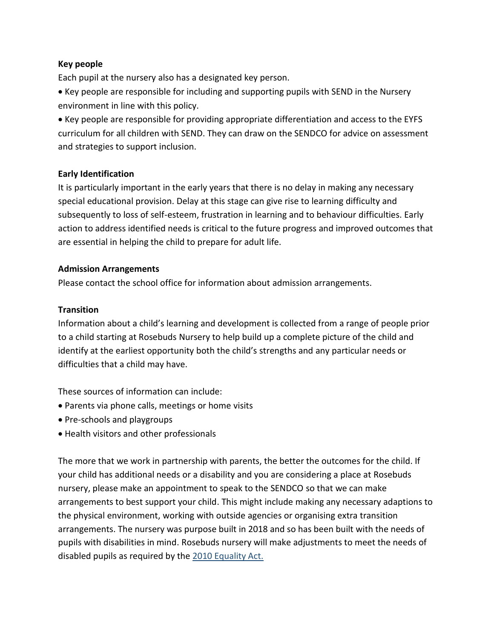## **Key people**

Each pupil at the nursery also has a designated key person.

• Key people are responsible for including and supporting pupils with SEND in the Nursery environment in line with this policy.

 Key people are responsible for providing appropriate differentiation and access to the EYFS curriculum for all children with SEND. They can draw on the SENDCO for advice on assessment and strategies to support inclusion.

#### **Early Identification**

It is particularly important in the early years that there is no delay in making any necessary special educational provision. Delay at this stage can give rise to learning difficulty and subsequently to loss of self-esteem, frustration in learning and to behaviour difficulties. Early action to address identified needs is critical to the future progress and improved outcomes that are essential in helping the child to prepare for adult life.

#### **Admission Arrangements**

Please contact the school office for information about admission arrangements.

## **Transition**

Information about a child's learning and development is collected from a range of people prior to a child starting at Rosebuds Nursery to help build up a complete picture of the child and identify at the earliest opportunity both the child's strengths and any particular needs or difficulties that a child may have.

These sources of information can include:

- Parents via phone calls, meetings or home visits
- Pre-schools and playgroups
- Health visitors and other professionals

The more that we work in partnership with parents, the better the outcomes for the child. If your child has additional needs or a disability and you are considering a place at Rosebuds nursery, please make an appointment to speak to the SENDCO so that we can make arrangements to best support your child. This might include making any necessary adaptions to the physical environment, working with outside agencies or organising extra transition arrangements. The nursery was purpose built in 2018 and so has been built with the needs of pupils with disabilities in mind. Rosebuds nursery will make adjustments to meet the needs of disabled pupils as required by the [2010 Equality Act.](http://www.legislation.gov.uk/ukpga/2010/15/section/6)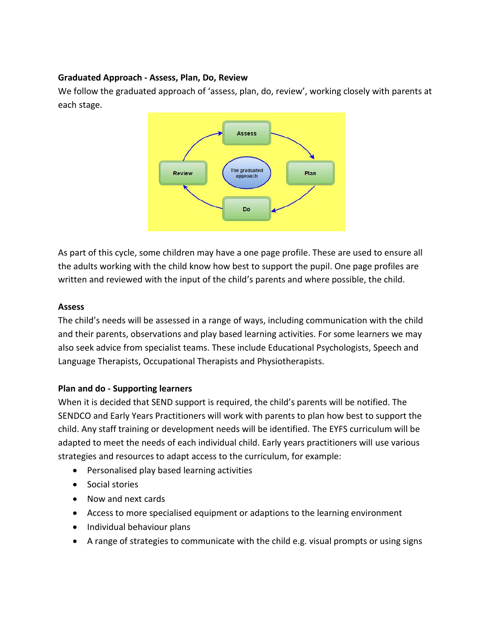## **Graduated Approach - Assess, Plan, Do, Review**

We follow the graduated approach of 'assess, plan, do, review', working closely with parents at each stage.



As part of this cycle, some children may have a one page profile. These are used to ensure all the adults working with the child know how best to support the pupil. One page profiles are written and reviewed with the input of the child's parents and where possible, the child.

## **Assess**

The child's needs will be assessed in a range of ways, including communication with the child and their parents, observations and play based learning activities. For some learners we may also seek advice from specialist teams. These include Educational Psychologists, Speech and Language Therapists, Occupational Therapists and Physiotherapists.

# **Plan and do - Supporting learners**

When it is decided that SEND support is required, the child's parents will be notified. The SENDCO and Early Years Practitioners will work with parents to plan how best to support the child. Any staff training or development needs will be identified. The EYFS curriculum will be adapted to meet the needs of each individual child. Early years practitioners will use various strategies and resources to adapt access to the curriculum, for example:

- Personalised play based learning activities
- Social stories
- Now and next cards
- Access to more specialised equipment or adaptions to the learning environment
- Individual behaviour plans
- A range of strategies to communicate with the child e.g. visual prompts or using signs